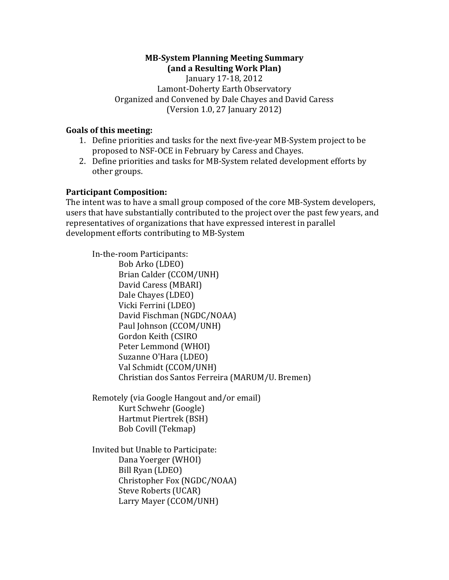#### **MB-System Planning Meeting Summary (and a Resulting Work Plan)**

January 17-18, 2012 Lamont-Doherty Earth Observatory Organized and Convened by Dale Chayes and David Caress (Version 1.0, 27 January 2012)

#### **Goals** of this meeting:

- 1. Define priorities and tasks for the next five-year MB-System project to be proposed to NSF-OCE in February by Caress and Chayes.
- 2. Define priorities and tasks for MB-System related development efforts by other groups.

#### **Participant Composition:**

The intent was to have a small group composed of the core MB-System developers, users that have substantially contributed to the project over the past few years, and representatives of organizations that have expressed interest in parallel development efforts contributing to MB-System

In-the-room Participants: Bob Arko (LDEO) Brian Calder (CCOM/UNH) David Caress (MBARI) Dale Chayes (LDEO) Vicki Ferrini (LDEO) David Fischman (NGDC/NOAA) Paul Johnson (CCOM/UNH) Gordon Keith (CSIRO Peter Lemmond (WHOI) Suzanne O'Hara (LDEO) Val Schmidt (CCOM/UNH) Christian dos Santos Ferreira (MARUM/U. Bremen)

Remotely (via Google Hangout and/or email) Kurt Schwehr (Google) Hartmut Piertrek (BSH) Bob Covill (Tekmap)

Invited but Unable to Participate: Dana Yoerger (WHOI) Bill Ryan (LDEO) Christopher Fox (NGDC/NOAA) Steve Roberts (UCAR) Larry Mayer (CCOM/UNH)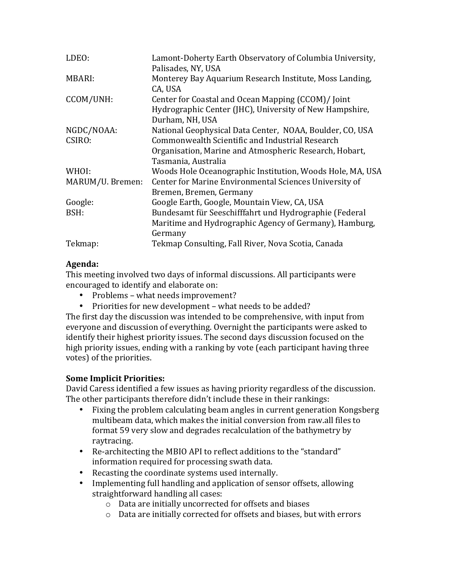| LDEO:            | Lamont-Doherty Earth Observatory of Columbia University,<br>Palisades, NY, USA                                                   |
|------------------|----------------------------------------------------------------------------------------------------------------------------------|
| MBARI:           | Monterey Bay Aquarium Research Institute, Moss Landing,<br>CA, USA                                                               |
| CCOM/UNH:        | Center for Coastal and Ocean Mapping (CCOM)/ Joint<br>Hydrographic Center (JHC), University of New Hampshire,<br>Durham, NH, USA |
| NGDC/NOAA:       | National Geophysical Data Center, NOAA, Boulder, CO, USA                                                                         |
| CSIRO:           | Commonwealth Scientific and Industrial Research                                                                                  |
|                  | Organisation, Marine and Atmospheric Research, Hobart,<br>Tasmania, Australia                                                    |
| WHOI:            | Woods Hole Oceanographic Institution, Woods Hole, MA, USA                                                                        |
| MARUM/U. Bremen: | Center for Marine Environmental Sciences University of<br>Bremen, Bremen, Germany                                                |
| Google:          | Google Earth, Google, Mountain View, CA, USA                                                                                     |
| BSH:             | Bundesamt für Seeschifffahrt und Hydrographie (Federal<br>Maritime and Hydrographic Agency of Germany), Hamburg,<br>Germany      |
| Tekmap:          | Tekmap Consulting, Fall River, Nova Scotia, Canada                                                                               |

# **Agenda:**

This meeting involved two days of informal discussions. All participants were encouraged to identify and elaborate on:

- Problems what needs improvement?
- Priorities for new development what needs to be added?

The first day the discussion was intended to be comprehensive, with input from everyone and discussion of everything. Overnight the participants were asked to identify their highest priority issues. The second days discussion focused on the high priority issues, ending with a ranking by vote (each participant having three votes) of the priorities.

## **Some Implicit Priorities:**

David Caress identified a few issues as having priority regardless of the discussion. The other participants therefore didn't include these in their rankings:

- Fixing the problem calculating beam angles in current generation Kongsberg multibeam data, which makes the initial conversion from raw.all files to format 59 very slow and degrades recalculation of the bathymetry by raytracing.
- Re-architecting the MBIO API to reflect additions to the "standard" information required for processing swath data.
- Recasting the coordinate systems used internally.
- Implementing full handling and application of sensor offsets, allowing straightforward handling all cases:
	- $\circ$  Data are initially uncorrected for offsets and biases
	- $\circ$  Data are initially corrected for offsets and biases, but with errors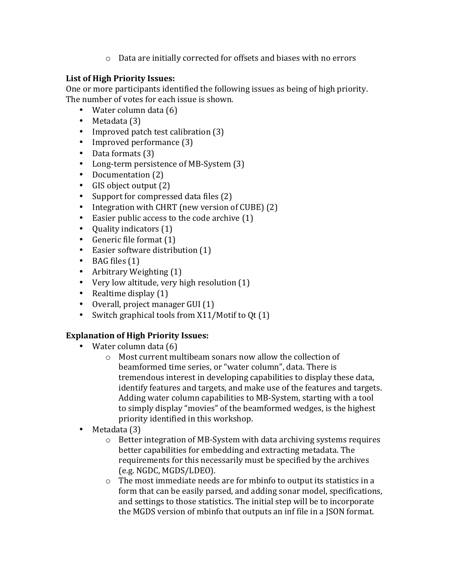$\circ$  Data are initially corrected for offsets and biases with no errors

## List of High Priority Issues:

One or more participants identified the following issues as being of high priority. The number of votes for each issue is shown.

- Water column data  $(6)$
- Metadata (3)
- Improved patch test calibration (3)
- Improved performance (3)
- Data formats (3)
- Long-term persistence of MB-System (3)
- Documentation (2)
- GIS object output (2)
- Support for compressed data files  $(2)$
- Integration with CHRT (new version of CUBE) (2)
- Easier public access to the code archive  $(1)$
- Quality indicators (1)
- Generic file format  $(1)$
- Easier software distribution  $(1)$
- BAG files  $(1)$
- Arbitrary Weighting  $(1)$
- Very low altitude, very high resolution (1)
- Realtime display  $(1)$
- $\bullet$  Overall, project manager GUI  $(1)$
- Switch graphical tools from  $X11/M$ otif to Qt $(1)$

# **Explanation of High Priority Issues:**

- Water column data  $(6)$ 
	- $\circ$  Most current multibeam sonars now allow the collection of beamformed time series, or "water column", data. There is tremendous interest in developing capabilities to display these data, identify features and targets, and make use of the features and targets. Adding water column capabilities to MB-System, starting with a tool to simply display "movies" of the beamformed wedges, is the highest priority identified in this workshop.
- Metadata (3)
	- $\circ$  Better integration of MB-System with data archiving systems requires better capabilities for embedding and extracting metadata. The requirements for this necessarily must be specified by the archives (e.g. NGDC, MGDS/LDEO).
	- $\circ$  The most immediate needs are for mbinfo to output its statistics in a form that can be easily parsed, and adding sonar model, specifications, and settings to those statistics. The initial step will be to incorporate the MGDS version of mbinfo that outputs an inf file in a JSON format.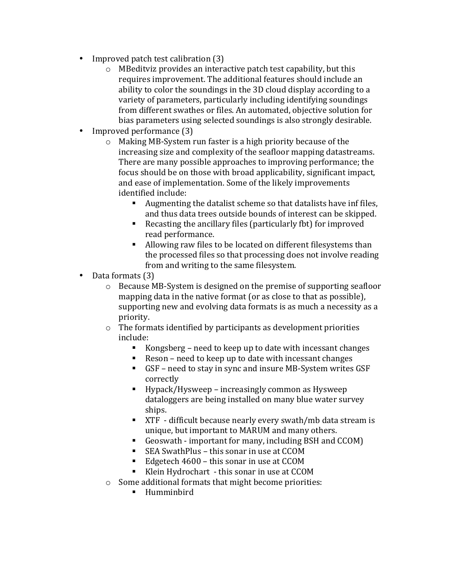- Improved patch test calibration (3)
	- $\circ$  MBeditviz provides an interactive patch test capability, but this requires improvement. The additional features should include an ability to color the soundings in the 3D cloud display according to a variety of parameters, particularly including identifying soundings from different swathes or files. An automated, objective solution for bias parameters using selected soundings is also strongly desirable.
- Improved performance (3)
	- $\circ$  Making MB-System run faster is a high priority because of the increasing size and complexity of the seafloor mapping datastreams. There are many possible approaches to improving performance; the focus should be on those with broad applicability, significant impact, and ease of implementation. Some of the likely improvements identified include:
		- E Augmenting the datalist scheme so that datalists have inf files, and thus data trees outside bounds of interest can be skipped.
		- Recasting the ancillary files (particularly fbt) for improved read performance.
		- Allowing raw files to be located on different filesystems than the processed files so that processing does not involve reading from and writing to the same filesystem.
- Data formats (3)
	- $\circ$  Because MB-System is designed on the premise of supporting seafloor mapping data in the native format (or as close to that as possible), supporting new and evolving data formats is as much a necessity as a priority.
	- $\circ$  The formats identified by participants as development priorities include:
		- Kongsberg need to keep up to date with incessant changes
		- Reson need to keep up to date with incessant changes
		- GSF need to stay in sync and insure MB-System writes GSF correctly
		- Hypack/Hysweep increasingly common as Hysweep dataloggers are being installed on many blue water survey ships.
		- XTF difficult because nearly every swath/mb data stream is unique, but important to MARUM and many others.
		- Geoswath important for many, including BSH and CCOM)
		- SEA SwathPlus this sonar in use at CCOM
		- Edgetech 4600 this sonar in use at CCOM
		- Klein Hydrochart this sonar in use at CCOM
	- $\circ$  Some additional formats that might become priorities:
		- § Humminbird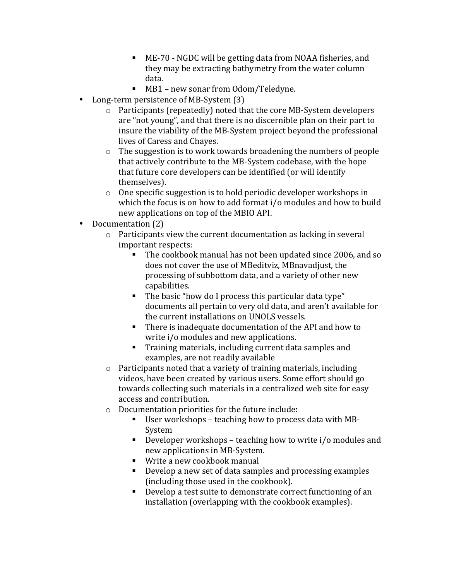- ME-70 NGDC will be getting data from NOAA fisheries, and they may be extracting bathymetry from the water column data.
- MB1 new sonar from Odom/Teledyne.
- Long-term persistence of MB-System (3)
	- $\circ$  Participants (repeatedly) noted that the core MB-System developers are "not young", and that there is no discernible plan on their part to insure the viability of the MB-System project beyond the professional lives of Caress and Chayes.
	- $\circ$  The suggestion is to work towards broadening the numbers of people that actively contribute to the MB-System codebase, with the hope that future core developers can be identified (or will identify themselves).
	- $\circ$  One specific suggestion is to hold periodic developer workshops in which the focus is on how to add format  $i$  /o modules and how to build new applications on top of the MBIO API.
- Documentation (2)
	- $\circ$  Participants view the current documentation as lacking in several important respects:
		- The cookbook manual has not been updated since 2006, and so does not cover the use of MBeditviz, MBnavadjust, the processing of subbottom data, and a variety of other new capabilities.
		- The basic "how do I process this particular data type" documents all pertain to very old data, and aren't available for the current installations on UNOLS vessels.
		- **•** There is inadequate documentation of the API and how to write  $i$  /  $o$  modules and new applications.
		- Training materials, including current data samples and examples, are not readily available
	- $\circ$  Participants noted that a variety of training materials, including videos, have been created by various users. Some effort should go towards collecting such materials in a centralized web site for easy access and contribution.
	- $\circ$  Documentation priorities for the future include:
		- User workshops teaching how to process data with MB-System
		- **•** Developer workshops teaching how to write  $i$  /o modules and new applications in MB-System.
		- Write a new cookbook manual
		- Develop a new set of data samples and processing examples (including those used in the cookbook).
		- Develop a test suite to demonstrate correct functioning of an installation (overlapping with the cookbook examples).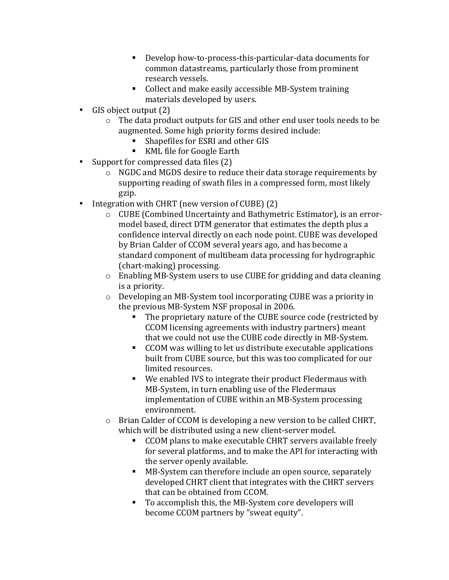- Develop how-to-process-this-particular-data documents for common datastreams, particularly those from prominent research vessels.
- Collect and make easily accessible MB-System training materials developed by users.
- GIS object output  $(2)$ 
	- $\circ$  The data product outputs for GIS and other end user tools needs to be augmented. Some high priority forms desired include:
		- Shapefiles for ESRI and other GIS
		- KML file for Google Earth
- Support for compressed data files  $(2)$ 
	- $\circ$  NGDC and MGDS desire to reduce their data storage requirements by supporting reading of swath files in a compressed form, most likely gzip.
- Integration with CHRT (new version of CUBE) (2)
	- $\circ$  CUBE (Combined Uncertainty and Bathymetric Estimator), is an errormodel based, direct DTM generator that estimates the depth plus a confidence interval directly on each node point. CUBE was developed by Brian Calder of CCOM several years ago, and has become a standard component of multibeam data processing for hydrographic (chart-making) processing.
	- $\circ$  Enabling MB-System users to use CUBE for gridding and data cleaning is a priority.
	- $\circ$  Developing an MB-System tool incorporating CUBE was a priority in the previous MB-System NSF proposal in 2006.
		- The proprietary nature of the CUBE source code (restricted by CCOM licensing agreements with industry partners) meant that we could not use the CUBE code directly in MB-System.
		- CCOM was willing to let us distribute executable applications built from CUBE source, but this was too complicated for our limited resources.
		- We enabled IVS to integrate their product Fledermaus with MB-System, in turn enabling use of the Fledermaus implementation of CUBE within an MB-System processing environment.
	- $\circ$  Brian Calder of CCOM is developing a new version to be called CHRT, which will be distributed using a new client-server model.
		- CCOM plans to make executable CHRT servers available freely for several platforms, and to make the API for interacting with the server openly available.
		- MB-System can therefore include an open source, separately developed CHRT client that integrates with the CHRT servers that can be obtained from CCOM.
		- To accomplish this, the MB-System core developers will become CCOM partners by "sweat equity".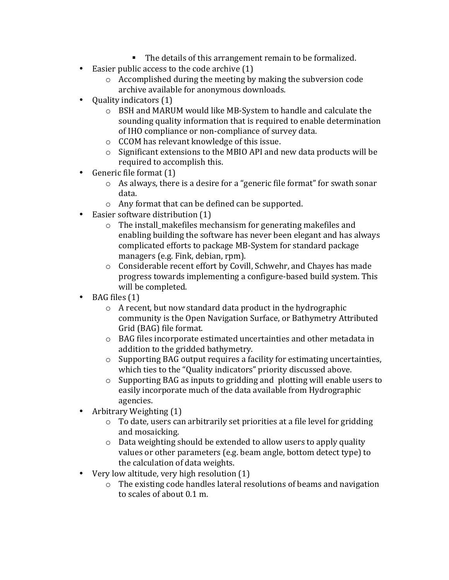- The details of this arrangement remain to be formalized.
- Easier public access to the code archive  $(1)$ 
	- $\circ$  Accomplished during the meeting by making the subversion code archive available for anonymous downloads.
- Quality indicators  $(1)$ 
	- o BSH and MARUM would like MB-System to handle and calculate the sounding quality information that is required to enable determination of IHO compliance or non-compliance of survey data.
	- $\circ$  CCOM has relevant knowledge of this issue.
	- $\circ$  Significant extensions to the MBIO API and new data products will be required to accomplish this.
- Generic file format  $(1)$ 
	- $\circ$  As always, there is a desire for a "generic file format" for swath sonar data.
	- $\circ$  Any format that can be defined can be supported.
- Easier software distribution (1)
	- $\circ$  The install\_makefiles mechansism for generating makefiles and enabling building the software has never been elegant and has always complicated efforts to package MB-System for standard package managers (e.g. Fink, debian, rpm).
	- $\circ$  Considerable recent effort by Covill, Schwehr, and Chayes has made progress towards implementing a configure-based build system. This will be completed.
- BAG files  $(1)$ 
	- $\circ$  A recent, but now standard data product in the hydrographic community is the Open Navigation Surface, or Bathymetry Attributed Grid (BAG) file format.
	- o BAG files incorporate estimated uncertainties and other metadata in addition to the gridded bathymetry.
	- $\circ$  Supporting BAG output requires a facility for estimating uncertainties, which ties to the "Quality indicators" priority discussed above.
	- $\circ$  Supporting BAG as inputs to gridding and plotting will enable users to easily incorporate much of the data available from Hydrographic agencies.
- Arbitrary Weighting  $(1)$ 
	- $\circ$  To date, users can arbitrarily set priorities at a file level for gridding and mosaicking.
	- $\circ$  Data weighting should be extended to allow users to apply quality values or other parameters (e.g. beam angle, bottom detect type) to the calculation of data weights.
- Very low altitude, very high resolution (1)
	- $\circ$  The existing code handles lateral resolutions of beams and navigation to scales of about 0.1 m.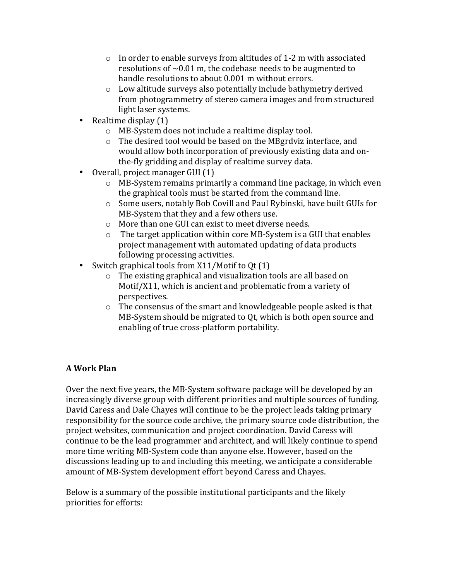- $\circ$  In order to enable surveys from altitudes of 1-2 m with associated resolutions of  $\sim$  0.01 m, the codebase needs to be augmented to handle resolutions to about 0.001 m without errors.
- $\circ$  Low altitude surveys also potentially include bathymetry derived from photogrammetry of stereo camera images and from structured light laser systems.
- Realtime display  $(1)$ 
	- $\circ$  MB-System does not include a realtime display tool.
	- $\circ$  The desired tool would be based on the MBgrdviz interface, and would allow both incorporation of previously existing data and onthe-fly gridding and display of realtime survey data.
- $\bullet$  Overall, project manager GUI  $(1)$ 
	- $\circ$  MB-System remains primarily a command line package, in which even the graphical tools must be started from the command line.
	- o Some users, notably Bob Covill and Paul Rybinski, have built GUIs for MB-System that they and a few others use.
	- $\circ$  More than one GUI can exist to meet diverse needs.
	- $\circ$  The target application within core MB-System is a GUI that enables project management with automated updating of data products following processing activities.
- Switch graphical tools from  $X11/M$ otif to Qt $(1)$ 
	- $\circ$  The existing graphical and visualization tools are all based on Motif/X11, which is ancient and problematic from a variety of perspectives.
	- $\circ$  The consensus of the smart and knowledgeable people asked is that MB-System should be migrated to Qt, which is both open source and enabling of true cross-platform portability.

# **A Work Plan**

Over the next five years, the MB-System software package will be developed by an increasingly diverse group with different priorities and multiple sources of funding. David Caress and Dale Chayes will continue to be the project leads taking primary responsibility for the source code archive, the primary source code distribution, the project websites, communication and project coordination. David Caress will continue to be the lead programmer and architect, and will likely continue to spend more time writing MB-System code than anyone else. However, based on the discussions leading up to and including this meeting, we anticipate a considerable amount of MB-System development effort beyond Caress and Chayes.

Below is a summary of the possible institutional participants and the likely priorities for efforts: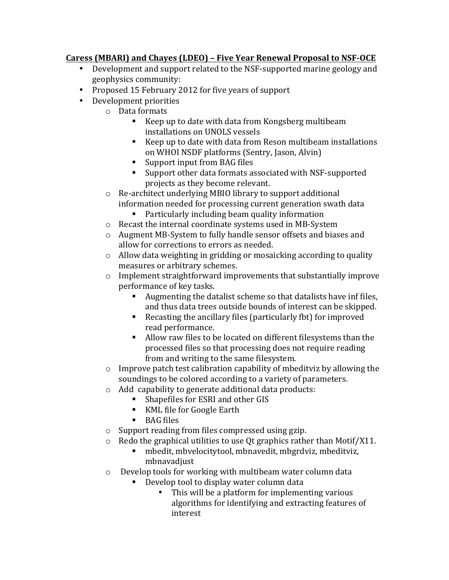## **Caress (MBARI) and Chayes (LDEO) – Five Year Renewal Proposal to NSF-OCE**

- Development and support related to the NSF-supported marine geology and geophysics community:
- Proposed 15 February 2012 for five years of support
- Development priorities
	- $\circ$  Data formats
		- E Keep up to date with data from Kongsberg multibeam installations on UNOLS vessels
		- Keep up to date with data from Reson multibeam installations on WHOI NSDF platforms (Sentry, Jason, Alvin)
		- Support input from BAG files
		- Support other data formats associated with NSF-supported projects as they become relevant.
	- $\circ$  Re-architect underlying MBIO library to support additional information needed for processing current generation swath data
		- Particularly including beam quality information
	- $\circ$  Recast the internal coordinate systems used in MB-System
	- $\circ$  Augment MB-System to fully handle sensor offsets and biases and allow for corrections to errors as needed.
	- $\circ$  Allow data weighting in gridding or mosaicking according to quality measures or arbitrary schemes.
	- $\circ$  Implement straightforward improvements that substantially improve performance of key tasks.
		- E Augmenting the datalist scheme so that datalists have inf files, and thus data trees outside bounds of interest can be skipped.
		- Recasting the ancillary files (particularly fbt) for improved read performance.
		- Allow raw files to be located on different filesystems than the processed files so that processing does not require reading from and writing to the same filesystem.
	- $\circ$  Improve patch test calibration capability of mbeditviz by allowing the soundings to be colored according to a variety of parameters.
	- $\circ$  Add capability to generate additional data products:
		- Shapefiles for ESRI and other GIS
		- KML file for Google Earth
		- BAG files
	- $\circ$  Support reading from files compressed using gzip.
	- $\circ$  Redo the graphical utilities to use Qt graphics rather than Motif/X11.
		- mbedit, mbvelocitytool, mbnavedit, mbgrdviz, mbeditviz, mbnavadjust
	- $\circ$  Develop tools for working with multibeam water column data
		- Develop tool to display water column data
			- This will be a platform for implementing various algorithms for identifying and extracting features of interest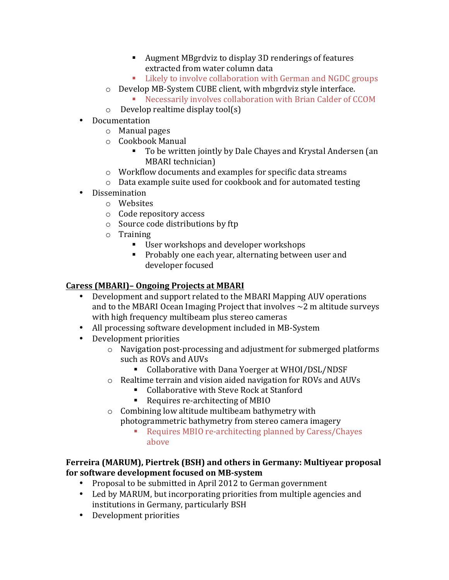- Augment MBgrdviz to display 3D renderings of features extracted from water column data
- Likely to involve collaboration with German and NGDC groups
- $\circ$  Develop MB-System CUBE client, with mbgrdviz style interface.
	- Necessarily involves collaboration with Brian Calder of CCOM
- $\circ$  Develop realtime display tool(s)
- Documentation
	- $\circ$  Manual pages
	- o Cookbook Manual
		- To be written jointly by Dale Chayes and Krystal Andersen (an MBARI technician)
	- $\circ$  Workflow documents and examples for specific data streams
	- $\circ$  Data example suite used for cookbook and for automated testing
- Dissemination
	- o Websites
		- o Code repository access
		- $\circ$  Source code distributions by ftp
		- o Training
			- User workshops and developer workshops
			- Probably one each year, alternating between user and developer focused

# **Caress (MBARI) – Ongoing Projects at MBARI**

- Development and support related to the MBARI Mapping AUV operations and to the MBARI Ocean Imaging Project that involves  $\sim$  2 m altitude surveys with high frequency multibeam plus stereo cameras
- All processing software development included in MB-System
- Development priorities
	- o Navigation post-processing and adjustment for submerged platforms such as ROVs and AUVs
		- Collaborative with Dana Yoerger at WHOI/DSL/NDSF
	- $\circ$  Realtime terrain and vision aided navigation for ROVs and AUVs
		- Collaborative with Steve Rock at Stanford
		- Requires re-architecting of MBIO
	- $\circ$  Combining low altitude multibeam bathymetry with photogrammetric bathymetry from stereo camera imagery
		- Requires MBIO re-architecting planned by Caress/Chayes above

## **Ferreira (MARUM), Piertrek (BSH) and others in Germany: Multiyear proposal** for software development focused on MB-system

- Proposal to be submitted in April 2012 to German government
- Led by MARUM, but incorporating priorities from multiple agencies and institutions in Germany, particularly BSH
- Development priorities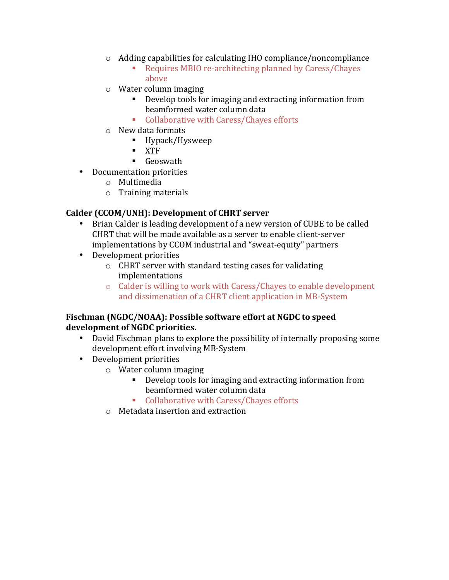- $\circ$  Adding capabilities for calculating IHO compliance/noncompliance
	- Requires MBIO re-architecting planned by Caress/Chayes above
- $\circ$  Water column imaging
	- **•** Develop tools for imaging and extracting information from beamformed water column data
	- Collaborative with Caress/Chayes efforts
- $\circ$  New data formats
	- Hypack/Hysweep
	- § XTF
	- Geoswath
- Documentation priorities
	- o Multimedia
	- $\circ$  Training materials

## Calder (CCOM/UNH): Development of CHRT server

- Brian Calder is leading development of a new version of CUBE to be called CHRT that will be made available as a server to enable client-server implementations by CCOM industrial and "sweat-equity" partners
- Development priorities
	- $\circ$  CHRT server with standard testing cases for validating implementations
	- $\circ$  Calder is willing to work with Caress/Chayes to enable development and dissimenation of a CHRT client application in MB-System

### Fischman (NGDC/NOAA): Possible software effort at NGDC to speed **development of NGDC priorities.**

- David Fischman plans to explore the possibility of internally proposing some development effort involving MB-System
- Development priorities
	- $\circ$  Water column imaging
		- **•** Develop tools for imaging and extracting information from beamformed water column data
		- Collaborative with Caress/Chayes efforts
	- $\circ$  Metadata insertion and extraction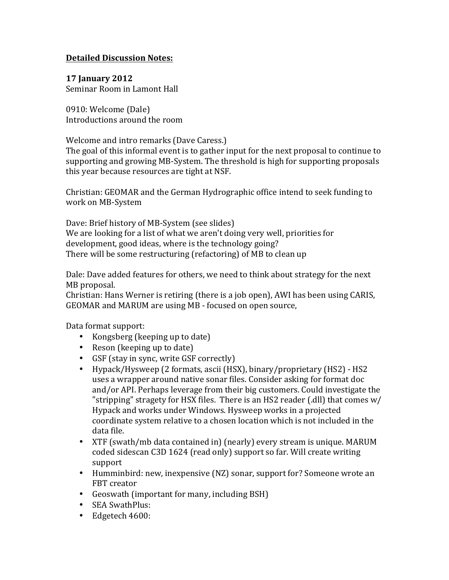### **Detailed Discussion Notes:**

**17 January 2012** Seminar Room in Lamont Hall

0910: Welcome (Dale) Introductions around the room

Welcome and intro remarks (Dave Caress.)

The goal of this informal event is to gather input for the next proposal to continue to supporting and growing MB-System. The threshold is high for supporting proposals this year because resources are tight at NSF.

Christian: GEOMAR and the German Hydrographic office intend to seek funding to work on MB-System

Dave: Brief history of MB-System (see slides) We are looking for a list of what we aren't doing very well, priorities for development, good ideas, where is the technology going? There will be some restructuring (refactoring) of MB to clean up

Dale: Dave added features for others, we need to think about strategy for the next MB proposal.

Christian: Hans Werner is retiring (there is a job open), AWI has been using CARIS, GEOMAR and MARUM are using MB - focused on open source,

Data format support:

- Kongsberg (keeping up to date)
- Reson (keeping up to date)
- GSF (stay in sync, write GSF correctly)
- Hypack/Hysweep (2 formats, ascii (HSX), binary/proprietary (HS2) HS2 uses a wrapper around native sonar files. Consider asking for format doc and/or API. Perhaps leverage from their big customers. Could investigate the "stripping" stragety for HSX files. There is an HS2 reader (.dll) that comes  $w/$ Hypack and works under Windows. Hysweep works in a projected coordinate system relative to a chosen location which is not included in the data file.
- XTF (swath/mb data contained in) (nearly) every stream is unique. MARUM coded sidescan C3D 1624 (read only) support so far. Will create writing support
- Humminbird: new, inexpensive (NZ) sonar, support for? Someone wrote an FBT creator
- Geoswath (important for many, including BSH)
- SEA SwathPlus:
- Edgetech 4600: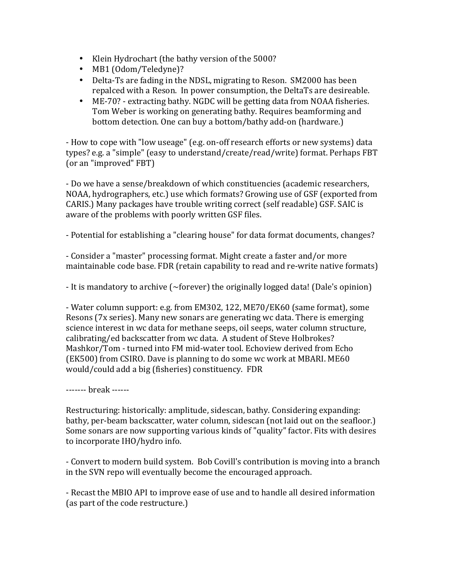- Klein Hydrochart (the bathy version of the 5000?
- MB1 (Odom/Teledyne)?
- Delta-Ts are fading in the NDSL, migrating to Reson. SM2000 has been repalced with a Reson. In power consumption, the DeltaTs are desireable.
- ME-70? extracting bathy. NGDC will be getting data from NOAA fisheries. Tom Weber is working on generating bathy. Requires beamforming and bottom detection. One can buy a bottom/bathy add-on (hardware.)

- How to cope with "low useage" (e.g. on-off research efforts or new systems) data types? e.g. a "simple" (easy to understand/create/read/write) format. Perhaps FBT (or an "improved" FBT)

- Do we have a sense/breakdown of which constituencies (academic researchers, NOAA, hydrographers, etc.) use which formats? Growing use of GSF (exported from CARIS.) Many packages have trouble writing correct (self readable) GSF. SAIC is aware of the problems with poorly written GSF files.

- Potential for establishing a "clearing house" for data format documents, changes?

- Consider a "master" processing format. Might create a faster and/or more maintainable code base. FDR (retain capability to read and re-write native formats)

- It is mandatory to archive  $\sim$  forever) the originally logged data! (Dale's opinion)

- Water column support: e.g. from EM302, 122, ME70/EK60 (same format), some Resons (7x series). Many new sonars are generating wc data. There is emerging science interest in wc data for methane seeps, oil seeps, water column structure, calibrating/ed backscatter from wc data. A student of Steve Holbrokes? Mashkor/Tom - turned into FM mid-water tool. Echoview derived from Echo (EK500) from CSIRO. Dave is planning to do some wc work at MBARI. ME60 would/could add a big (fisheries) constituency. FDR

------- break ------

Restructuring: historically: amplitude, sidescan, bathy. Considering expanding: bathy, per-beam backscatter, water column, sidescan (not laid out on the seafloor.) Some sonars are now supporting various kinds of "quality" factor. Fits with desires to incorporate IHO/hydro info.

- Convert to modern build system. Bob Covill's contribution is moving into a branch in the SVN repo will eventually become the encouraged approach.

- Recast the MBIO API to improve ease of use and to handle all desired information (as part of the code restructure.)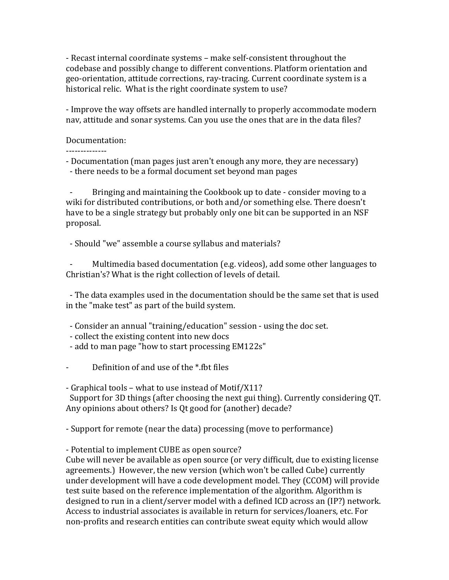- Recast internal coordinate systems – make self-consistent throughout the codebase and possibly change to different conventions. Platform orientation and geo-orientation, attitude corrections, ray-tracing. Current coordinate system is a historical relic. What is the right coordinate system to use?

- Improve the way offsets are handled internally to properly accommodate modern nav, attitude and sonar systems. Can you use the ones that are in the data files?

#### Documentation:

--------------

- Documentation (man pages just aren't enough any more, they are necessary) - there needs to be a formal document set beyond man pages

Bringing and maintaining the Cookbook up to date - consider moving to a wiki for distributed contributions, or both and/or something else. There doesn't have to be a single strategy but probably only one bit can be supported in an NSF proposal.

- Should "we" assemble a course syllabus and materials?

Multimedia based documentation (e.g. videos), add some other languages to Christian's? What is the right collection of levels of detail.

- The data examples used in the documentation should be the same set that is used in the "make test" as part of the build system.

- Consider an annual "training/education" session - using the doc set.

- collect the existing content into new docs

- add to man page "how to start processing EM122s"
- Definition of and use of the  $*$ .fbt files

- Graphical tools – what to use instead of Motif/X11?

Support for 3D things (after choosing the next gui thing). Currently considering QT. Any opinions about others? Is Qt good for (another) decade?

- Support for remote (near the data) processing (move to performance)

- Potential to implement CUBE as open source?

Cube will never be available as open source (or very difficult, due to existing license agreements.) However, the new version (which won't be called Cube) currently under development will have a code development model. They (CCOM) will provide test suite based on the reference implementation of the algorithm. Algorithm is designed to run in a client/server model with a defined ICD across an (IP?) network. Access to industrial associates is available in return for services/loaners, etc. For non-profits and research entities can contribute sweat equity which would allow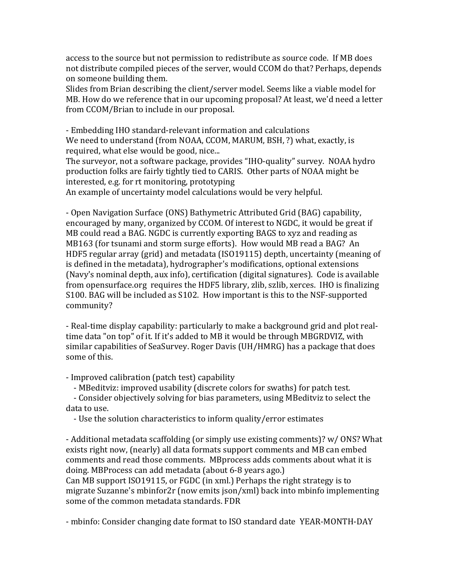access to the source but not permission to redistribute as source code. If MB does not distribute compiled pieces of the server, would CCOM do that? Perhaps, depends on someone building them.

Slides from Brian describing the client/server model. Seems like a viable model for MB. How do we reference that in our upcoming proposal? At least, we'd need a letter from CCOM/Brian to include in our proposal.

- Embedding IHO standard-relevant information and calculations We need to understand (from NOAA, CCOM, MARUM, BSH, ?) what, exactly, is required, what else would be good, nice...

The surveyor, not a software package, provides "IHO-quality" survey. NOAA hydro production folks are fairly tightly tied to CARIS. Other parts of NOAA might be interested, e.g. for rt monitoring, prototyping

An example of uncertainty model calculations would be very helpful.

- Open Navigation Surface (ONS) Bathymetric Attributed Grid (BAG) capability, encouraged by many, organized by CCOM. Of interest to NGDC, it would be great if MB could read a BAG. NGDC is currently exporting BAGS to xyz and reading as MB163 (for tsunami and storm surge efforts). How would MB read a BAG? An HDF5 regular array (grid) and metadata (ISO19115) depth, uncertainty (meaning of is defined in the metadata), hydrographer's modifications, optional extensions (Navv's nominal depth, aux info), certification (digital signatures). Code is available from opensurface.org requires the HDF5 library, zlib, szlib, xerces. IHO is finalizing S100. BAG will be included as S102. How important is this to the NSF-supported community?

- Real-time display capability: particularly to make a background grid and plot realtime data "on top" of it. If it's added to MB it would be through MBGRDVIZ, with similar capabilities of SeaSurvey. Roger Davis (UH/HMRG) has a package that does some of this.

- Improved calibration (patch test) capability

- MBeditviz: improved usability (discrete colors for swaths) for patch test.

- Consider objectively solving for bias parameters, using MBeditviz to select the data to use.

- Use the solution characteristics to inform quality/error estimates

- Additional metadata scaffolding (or simply use existing comments)? w/ ONS? What exists right now, (nearly) all data formats support comments and MB can embed comments and read those comments. MBprocess adds comments about what it is doing. MBProcess can add metadata (about 6-8 years ago.)

Can MB support ISO19115, or FGDC (in xml.) Perhaps the right strategy is to migrate Suzanne's mbinfor2r (now emits  $\frac{1}{10}$  son/xml) back into mbinfo implementing some of the common metadata standards. FDR

- mbinfo: Consider changing date format to ISO standard date YEAR-MONTH-DAY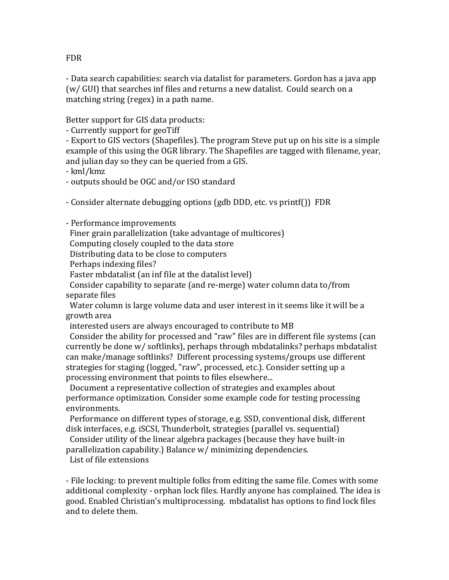- Data search capabilities: search via datalist for parameters. Gordon has a java app (w/ GUI) that searches inf files and returns a new datalist. Could search on a matching string (regex) in a path name.

Better support for GIS data products:

- Currently support for geoTiff

- Export to GIS vectors (Shapefiles). The program Steve put up on his site is a simple example of this using the OGR library. The Shapefiles are tagged with filename, year, and julian day so they can be queried from a GIS.

- kml/kmz

- outputs should be OGC and/or ISO standard

- Consider alternate debugging options (gdb DDD, etc. vs printf()) FDR

- Performance improvements

Finer grain parallelization (take advantage of multicores)

Computing closely coupled to the data store

Distributing data to be close to computers

Perhaps indexing files?

Faster mbdatalist (an inf file at the datalist level)

Consider capability to separate (and re-merge) water column data to/from separate files

Water column is large volume data and user interest in it seems like it will be a growth area

interested users are always encouraged to contribute to MB

Consider the ability for processed and "raw" files are in different file systems (can currently be done w/ softlinks), perhaps through mbdatalinks? perhaps mbdatalist can make/manage softlinks? Different processing systems/groups use different strategies for staging (logged, "raw", processed, etc.). Consider setting up a processing environment that points to files elsewhere...

Document a representative collection of strategies and examples about performance optimization. Consider some example code for testing processing environments.

Performance on different types of storage, e.g. SSD, conventional disk, different disk interfaces, e.g. iSCSI, Thunderbolt, strategies (parallel vs. sequential)

Consider utility of the linear algebra packages (because they have built-in

parallelization capability.) Balance w/ minimizing dependencies.

List of file extensions

- File locking: to prevent multiple folks from editing the same file. Comes with some additional complexity - orphan lock files. Hardly anyone has complained. The idea is good. Enabled Christian's multiprocessing. mbdatalist has options to find lock files and to delete them.

FDR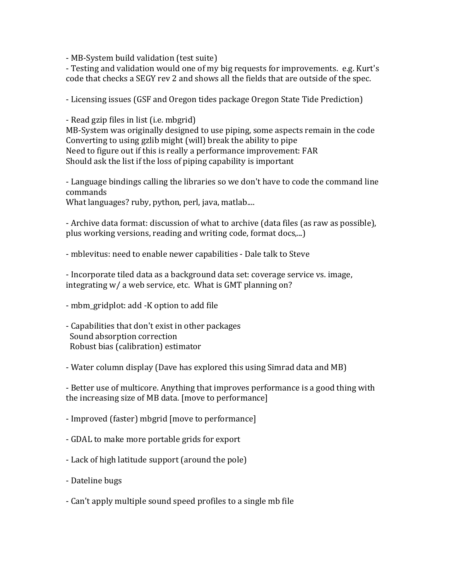- MB-System build validation (test suite)

- Testing and validation would one of my big requests for improvements. e.g. Kurt's code that checks a SEGY rev 2 and shows all the fields that are outside of the spec.

- Licensing issues (GSF and Oregon tides package Oregon State Tide Prediction)

- Read gzip files in list (i.e. mbgrid) MB-System was originally designed to use piping, some aspects remain in the code Converting to using gzlib might (will) break the ability to pipe Need to figure out if this is really a performance improvement: FAR Should ask the list if the loss of piping capability is important

- Language bindings calling the libraries so we don't have to code the command line commands

What languages? ruby, python, perl, java, matlab....

- Archive data format: discussion of what to archive (data files (as raw as possible), plus working versions, reading and writing code, format docs,...)

- mblevitus: need to enable newer capabilities - Dale talk to Steve

- Incorporate tiled data as a background data set: coverage service vs. image, integrating  $w/a$  web service, etc. What is GMT planning on?

- mbm\_gridplot: add -K option to add file
- Capabilities that don't exist in other packages Sound absorption correction Robust bias (calibration) estimator

- Water column display (Dave has explored this using Simrad data and MB)

- Better use of multicore. Anything that improves performance is a good thing with the increasing size of MB data.  $[move to performance]$ 

- Improved (faster) mbgrid [move to performance]

- GDAL to make more portable grids for export
- Lack of high latitude support (around the pole)
- Dateline bugs
- Can't apply multiple sound speed profiles to a single mb file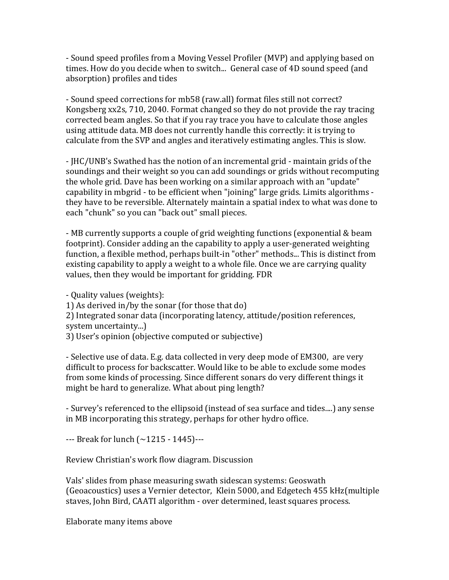- Sound speed profiles from a Moving Vessel Profiler (MVP) and applying based on times. How do you decide when to switch... General case of 4D sound speed (and absorption) profiles and tides

- Sound speed corrections for mb58 (raw.all) format files still not correct? Kongsberg xx2s, 710, 2040. Format changed so they do not provide the ray tracing corrected beam angles. So that if you ray trace you have to calculate those angles using attitude data. MB does not currently handle this correctly: it is trying to calculate from the SVP and angles and iteratively estimating angles. This is slow.

- JHC/UNB's Swathed has the notion of an incremental grid - maintain grids of the soundings and their weight so you can add soundings or grids without recomputing the whole grid. Dave has been working on a similar approach with an "update" capability in mbgrid - to be efficient when "joining" large grids. Limits algorithms they have to be reversible. Alternately maintain a spatial index to what was done to each "chunk" so you can "back out" small pieces.

- MB currently supports a couple of grid weighting functions (exponential & beam footprint). Consider adding an the capability to apply a user-generated weighting function, a flexible method, perhaps built-in "other" methods... This is distinct from existing capability to apply a weight to a whole file. Once we are carrying quality values, then they would be important for gridding. FDR

- Quality values (weights):

1) As derived in/by the sonar (for those that do)

2) Integrated sonar data (incorporating latency, attitude/position references, system uncertainty...)

3) User's opinion (objective computed or subjective)

- Selective use of data. E.g. data collected in very deep mode of EM300, are very difficult to process for backscatter. Would like to be able to exclude some modes from some kinds of processing. Since different sonars do very different things it might be hard to generalize. What about ping length?

- Survey's referenced to the ellipsoid (instead of sea surface and tides....) any sense in MB incorporating this strategy, perhaps for other hydro office.

 $-$ --- Break for lunch  $(-1215 - 1445)$ ---

Review Christian's work flow diagram. Discussion

Vals' slides from phase measuring swath sidescan systems: Geoswath (Geoacoustics) uses a Vernier detector, Klein 5000, and Edgetech 455 kHz(multiple staves, John Bird, CAATI algorithm - over determined, least squares process.

Elaborate many items above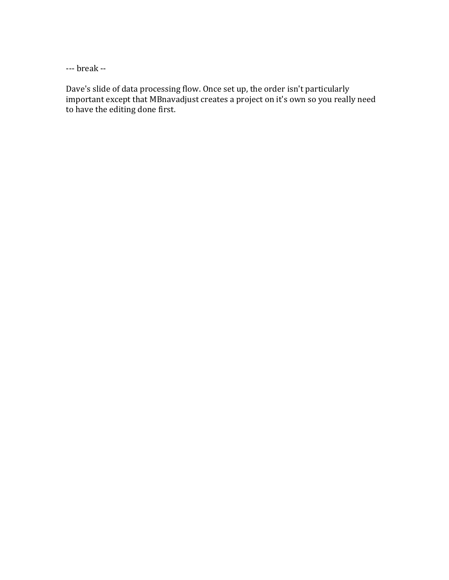--- break --

Dave's slide of data processing flow. Once set up, the order isn't particularly important except that MBnavadjust creates a project on it's own so you really need to have the editing done first.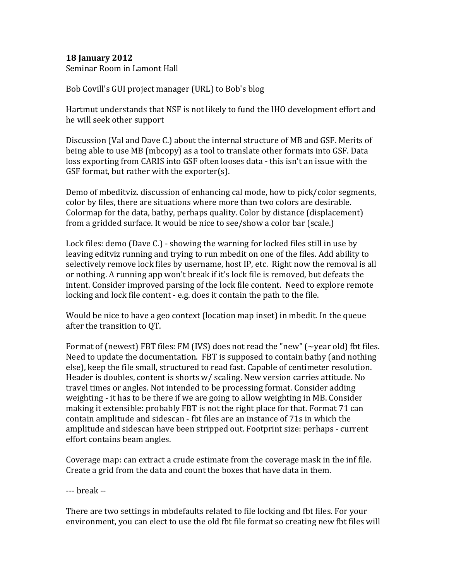### **18 January 2012**

Seminar Room in Lamont Hall

Bob Covill's GUI project manager (URL) to Bob's blog

Hartmut understands that NSF is not likely to fund the IHO development effort and he will seek other support

Discussion (Val and Dave C.) about the internal structure of MB and GSF. Merits of being able to use MB (mbcopy) as a tool to translate other formats into GSF. Data loss exporting from CARIS into GSF often looses data - this isn't an issue with the GSF format, but rather with the exporter(s).

Demo of mbeditviz. discussion of enhancing cal mode, how to pick/color segments, color by files, there are situations where more than two colors are desirable. Colormap for the data, bathy, perhaps quality. Color by distance (displacement) from a gridded surface. It would be nice to see/show a color bar (scale.)

Lock files: demo (Dave  $C$ .) - showing the warning for locked files still in use by leaving editviz running and trying to run mbedit on one of the files. Add ability to selectively remove lock files by username, host IP, etc. Right now the removal is all or nothing. A running app won't break if it's lock file is removed, but defeats the intent. Consider improved parsing of the lock file content. Need to explore remote locking and lock file content  $-$  e.g. does it contain the path to the file.

Would be nice to have a geo context (location map inset) in mbedit. In the queue after the transition to QT.

Format of (newest) FBT files: FM (IVS) does not read the "new" ( $\sim$ year old) fbt files. Need to update the documentation. FBT is supposed to contain bathy (and nothing else), keep the file small, structured to read fast. Capable of centimeter resolution. Header is doubles, content is shorts  $w/$  scaling. New version carries attitude. No travel times or angles. Not intended to be processing format. Consider adding weighting - it has to be there if we are going to allow weighting in MB. Consider making it extensible: probably FBT is not the right place for that. Format 71 can contain amplitude and sidescan - fbt files are an instance of 71s in which the amplitude and sidescan have been stripped out. Footprint size: perhaps - current effort contains beam angles.

Coverage map: can extract a crude estimate from the coverage mask in the inf file. Create a grid from the data and count the boxes that have data in them.

--- **break** --

There are two settings in mbdefaults related to file locking and fbt files. For your environment, you can elect to use the old fbt file format so creating new fbt files will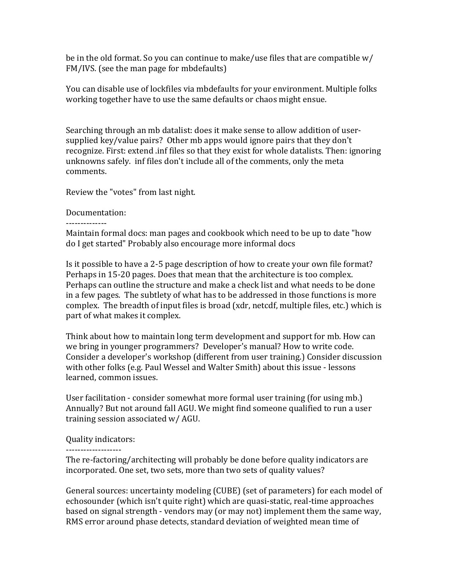be in the old format. So you can continue to make/use files that are compatible  $w/$ FM/IVS. (see the man page for mbdefaults)

You can disable use of lockfiles via mbdefaults for your environment. Multiple folks working together have to use the same defaults or chaos might ensue.

Searching through an mb datalist: does it make sense to allow addition of usersupplied key/value pairs? Other mb apps would ignore pairs that they don't recognize. First: extend .inf files so that they exist for whole datalists. Then: ignoring unknowns safely. inf files don't include all of the comments, only the meta comments.

Review the "votes" from last night.

#### Documentation:

--------------

Maintain formal docs: man pages and cookbook which need to be up to date "how do I get started" Probably also encourage more informal docs

Is it possible to have a 2-5 page description of how to create your own file format? Perhaps in 15-20 pages. Does that mean that the architecture is too complex. Perhaps can outline the structure and make a check list and what needs to be done in a few pages. The subtlety of what has to be addressed in those functions is more complex. The breadth of input files is broad (xdr, netcdf, multiple files, etc.) which is part of what makes it complex.

Think about how to maintain long term development and support for mb. How can we bring in younger programmers? Developer's manual? How to write code. Consider a developer's workshop (different from user training.) Consider discussion with other folks (e.g. Paul Wessel and Walter Smith) about this issue - lessons learned, common issues.

User facilitation - consider somewhat more formal user training (for using mb.) Annually? But not around fall AGU. We might find someone qualified to run a user training session associated  $w/$  AGU.

Quality indicators:

#### -------------------

The re-factoring/architecting will probably be done before quality indicators are incorporated. One set, two sets, more than two sets of quality values?

General sources: uncertainty modeling (CUBE) (set of parameters) for each model of echosounder (which isn't quite right) which are quasi-static, real-time approaches based on signal strength - vendors may (or may not) implement them the same way, RMS error around phase detects, standard deviation of weighted mean time of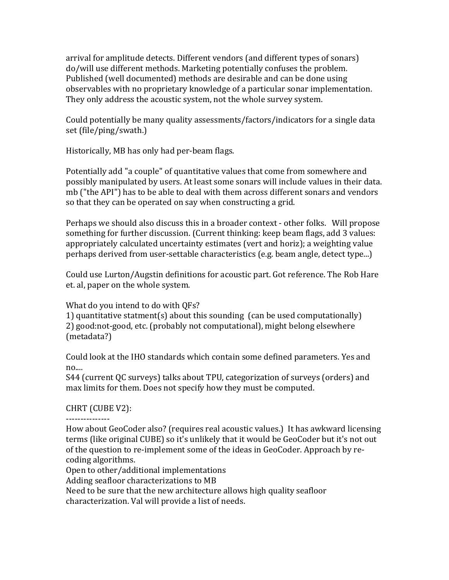arrival for amplitude detects. Different vendors (and different types of sonars) do/will use different methods. Marketing potentially confuses the problem. Published (well documented) methods are desirable and can be done using observables with no proprietary knowledge of a particular sonar implementation. They only address the acoustic system, not the whole survey system.

Could potentially be many quality assessments/factors/indicators for a single data set (file/ping/swath.)

Historically, MB has only had per-beam flags.

Potentially add "a couple" of quantitative values that come from somewhere and possibly manipulated by users. At least some sonars will include values in their data. mb ("the API") has to be able to deal with them across different sonars and vendors so that they can be operated on say when constructing a grid.

Perhaps we should also discuss this in a broader context - other folks. Will propose something for further discussion. (Current thinking: keep beam flags, add 3 values: appropriately calculated uncertainty estimates (vert and horiz); a weighting value perhaps derived from user-settable characteristics (e.g. beam angle, detect type...)

Could use Lurton/Augstin definitions for acoustic part. Got reference. The Rob Hare et. al, paper on the whole system.

What do you intend to do with OFs?

1) quantitative statment(s) about this sounding  $\alpha$  (can be used computationally) 2) good:not-good, etc. (probably not computational), might belong elsewhere (metadata?)

Could look at the IHO standards which contain some defined parameters. Yes and no....

S44 (current QC surveys) talks about TPU, categorization of surveys (orders) and max limits for them. Does not specify how they must be computed.

# CHRT (CUBE V2):

---------------

How about GeoCoder also? (requires real acoustic values.) It has awkward licensing terms (like original CUBE) so it's unlikely that it would be GeoCoder but it's not out of the question to re-implement some of the ideas in GeoCoder. Approach by recoding algorithms.

Open to other/additional implementations

Adding seafloor characterizations to MB

Need to be sure that the new architecture allows high quality seafloor characterization. Val will provide a list of needs.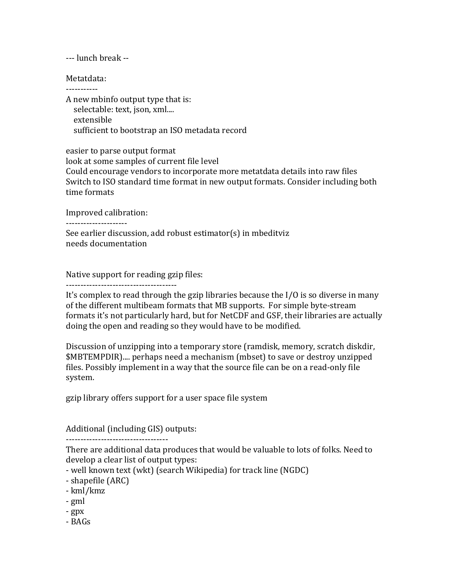--- lunch break --

Metatdata: -----------

A new mbinfo output type that is: selectable: text, json, xml.... extensible sufficient to bootstrap an ISO metadata record

easier to parse output format look at some samples of current file level Could encourage vendors to incorporate more metatdata details into raw files Switch to ISO standard time format in new output formats. Consider including both time formats

Improved calibration:

---------------------

See earlier discussion, add robust estimator(s) in mbeditviz needs documentation

Native support for reading gzip files:

--------------------------------------

It's complex to read through the gzip libraries because the  $I/O$  is so diverse in many of the different multibeam formats that MB supports. For simple byte-stream formats it's not particularly hard, but for NetCDF and GSF, their libraries are actually doing the open and reading so they would have to be modified.

Discussion of unzipping into a temporary store (ramdisk, memory, scratch diskdir, \$MBTEMPDIR).... perhaps need a mechanism (mbset) to save or destroy unzipped files. Possibly implement in a way that the source file can be on a read-only file system.

gzip library offers support for a user space file system

Additional (including GIS) outputs:

-----------------------------------

There are additional data produces that would be valuable to lots of folks. Need to develop a clear list of output types:

- well known text (wkt) (search Wikipedia) for track line (NGDC)

- shapefile (ARC)
- kml/kmz
- gml
- gpx
- BAGs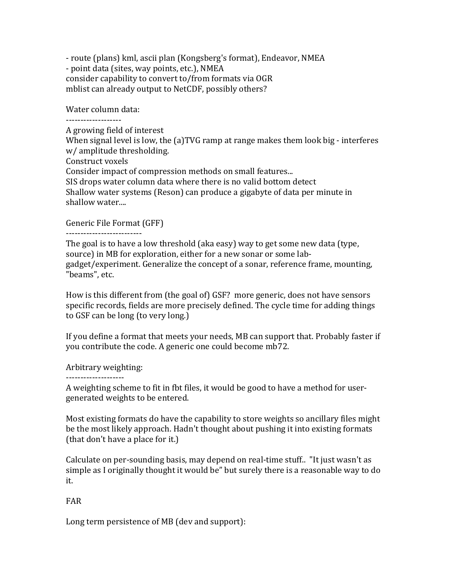- route (plans) kml, ascii plan (Kongsberg's format), Endeavor, NMEA - point data (sites, way points, etc.), NMEA consider capability to convert to/from formats via OGR mblist can already output to NetCDF, possibly others?

Water column data:

-------------------

A growing field of interest When signal level is low, the (a)TVG ramp at range makes them look big - interferes w/ amplitude thresholding. Construct voxels Consider impact of compression methods on small features... SIS drops water column data where there is no valid bottom detect Shallow water systems (Reson) can produce a gigabyte of data per minute in shallow water....

Generic File Format (GFF)

--------------------------

The goal is to have a low threshold (aka easy) way to get some new data (type, source) in MB for exploration, either for a new sonar or some labgadget/experiment. Generalize the concept of a sonar, reference frame, mounting, "beams", etc.

How is this different from (the goal of) GSF? more generic, does not have sensors specific records, fields are more precisely defined. The cycle time for adding things to GSF can be long (to very long.)

If you define a format that meets your needs, MB can support that. Probably faster if you contribute the code. A generic one could become mb72.

Arbitrary weighting:

--------------------

A weighting scheme to fit in fbt files, it would be good to have a method for usergenerated weights to be entered.

Most existing formats do have the capability to store weights so ancillary files might be the most likely approach. Hadn't thought about pushing it into existing formats (that don't have a place for it.)

Calculate on per-sounding basis, may depend on real-time stuff.. "It just wasn't as simple as I originally thought it would be" but surely there is a reasonable way to do it.

## FAR

Long term persistence of MB (dev and support):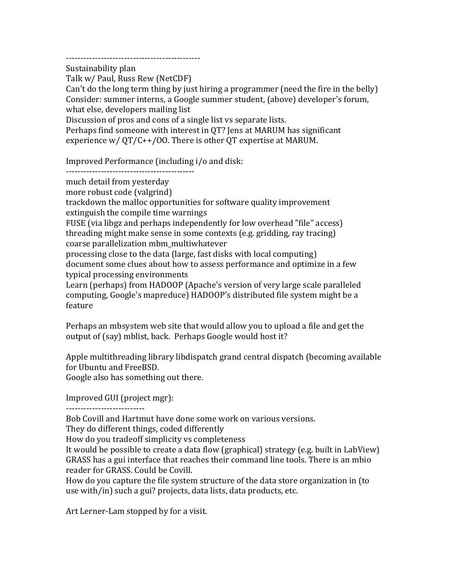---------------------------------------------- Sustainability plan

Talk w/ Paul, Russ Rew (NetCDF)

Can't do the long term thing by just hiring a programmer (need the fire in the belly) Consider: summer interns, a Google summer student, (above) developer's forum, what else, developers mailing list

Discussion of pros and cons of a single list vs separate lists.

Perhaps find someone with interest in QT? Jens at MARUM has significant experience  $w / QT / C$ ++/00. There is other QT expertise at MARUM.

Improved Performance (including  $i$  /  $o$  and disk:

--------------------------------------------

much detail from yesterday

more robust code (valgrind)

trackdown the malloc opportunities for software quality improvement extinguish the compile time warnings

FUSE (via libgz and perhaps independently for low overhead "file" access) threading might make sense in some contexts  $(e.g., gridding, ray tracing)$ 

coarse parallelization mbm\_multiwhatever

processing close to the data (large, fast disks with local computing)

document some clues about how to assess performance and optimize in a few typical processing environments

Learn (perhaps) from HADOOP (Apache's version of very large scale paralleled computing, Google's mapreduce) HADOOP's distributed file system might be a feature

Perhaps an mbsystem web site that would allow you to upload a file and get the output of (say) mblist, back. Perhaps Google would host it?

Apple multithreading library libdispatch grand central dispatch (becoming available for Ubuntu and FreeBSD.

Google also has something out there.

Improved GUI (project mgr):

---------------------------

Bob Covill and Hartmut have done some work on various versions.

They do different things, coded differently

How do you tradeoff simplicity vs completeness

It would be possible to create a data flow (graphical) strategy (e.g. built in LabView) GRASS has a gui interface that reaches their command line tools. There is an mbio reader for GRASS. Could be Covill.

How do you capture the file system structure of the data store organization in (to use with/in) such a gui? projects, data lists, data products, etc.

Art Lerner-Lam stopped by for a visit.